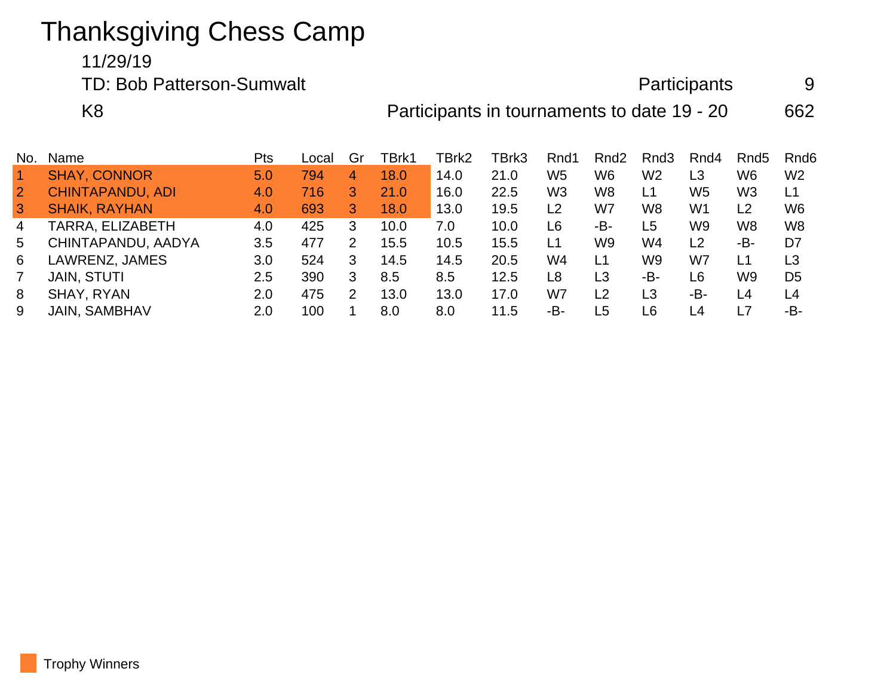## Thanksgiving Chess Camp

## 11/29/19

TD: Bob Patterson-Sumwalt and Participants 9 K8 **Participants in tournaments to date 19 - 20** 662

| No.            | Name                    | Pts     | Local | Gr | FBrk1 | TBrk2 | TBrk3 | Rnd1           | Rnd <sub>2</sub> | Rnd3           | Rnd4           | Rnd <sub>5</sub> | Rnd <sub>6</sub> |
|----------------|-------------------------|---------|-------|----|-------|-------|-------|----------------|------------------|----------------|----------------|------------------|------------------|
|                | <b>SHAY, CONNOR</b>     | 5.0     | 794   | 4  | 18.0  | 14.0  | 21.0  | W5             | W <sub>6</sub>   | W <sub>2</sub> | L3             | W6               | W <sub>2</sub>   |
| $\overline{2}$ | <b>CHINTAPANDU, ADI</b> | 4.0     | 716   | 3  | 21.0  | 16.0  | 22.5  | W <sub>3</sub> | W8               | L1             | W5             | W <sub>3</sub>   | L1               |
| 3              | <b>SHAIK, RAYHAN</b>    | 4.0     | 693   | 3  | 18.0  | 13.0  | 19.5  | L <sub>2</sub> | W7               | W8             | W <sub>1</sub> | L <sub>2</sub>   | W <sub>6</sub>   |
| 4              | TARRA, ELIZABETH        | 4.0     | 425   | 3  | 10.0  | 7.0   | 10.0  | L6             | -В-              | L5             | W9             | W8               | W <sub>8</sub>   |
| 5              | CHINTAPANDU, AADYA      | 3.5     | 477   | 2  | 15.5  | 10.5  | 15.5  | L1             | W9               | W4             | L2             | -B-              | D7               |
| 6              | LAWRENZ, JAMES          | 3.0     | 524   | 3  | 14.5  | 14.5  | 20.5  | W4             | L1               | W9             | W7             | L1               | L3               |
|                | <b>JAIN, STUTI</b>      | $2.5\,$ | 390   | 3  | 8.5   | 8.5   | 12.5  | L8             | L3               | -B-            | L <sub>6</sub> | W9               | D <sub>5</sub>   |
| 8              | SHAY, RYAN              | 2.0     | 475   | 2  | 13.0  | 13.0  | 17.0  | W7             | L <sub>2</sub>   | L3             | -В-            | L4               | L4               |
| 9              | <b>JAIN, SAMBHAV</b>    | 2.0     | 100   |    | 8.0   | 8.0   | 11.5  | -B-            | L5               | L6             | L4             | L7               | -B-              |